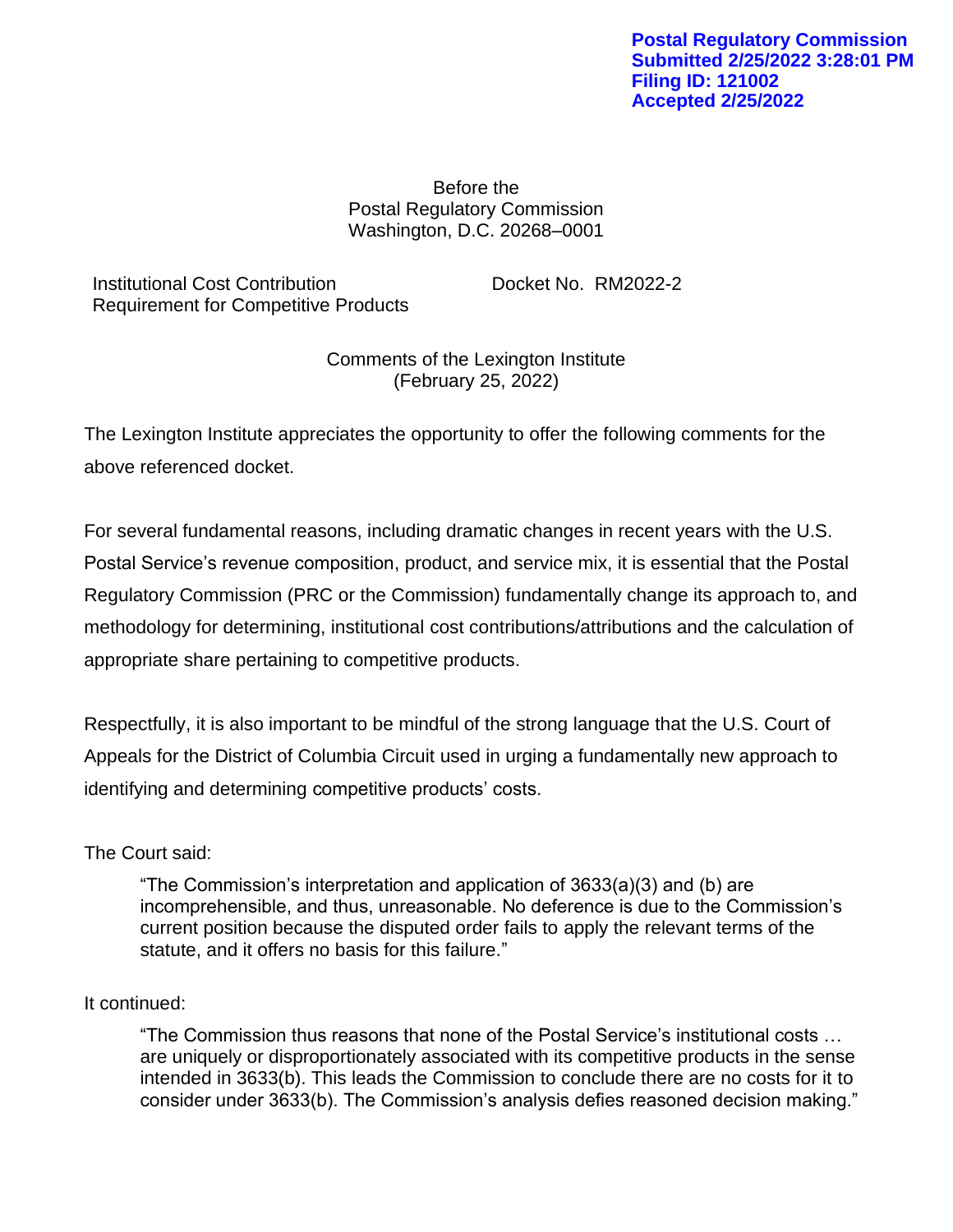Before the Postal Regulatory Commission Washington, D.C. 20268–0001

Institutional Cost Contribution Docket No. RM2022-2 Requirement for Competitive Products

Comments of the Lexington Institute (February 25, 2022)

The Lexington Institute appreciates the opportunity to offer the following comments for the above referenced docket.

For several fundamental reasons, including dramatic changes in recent years with the U.S. Postal Service's revenue composition, product, and service mix, it is essential that the Postal Regulatory Commission (PRC or the Commission) fundamentally change its approach to, and methodology for determining, institutional cost contributions/attributions and the calculation of appropriate share pertaining to competitive products.

Respectfully, it is also important to be mindful of the strong language that the U.S. Court of Appeals for the District of Columbia Circuit used in urging a fundamentally new approach to identifying and determining competitive products' costs.

# The Court said:

"The Commission's interpretation and application of 3633(a)(3) and (b) are incomprehensible, and thus, unreasonable. No deference is due to the Commission's current position because the disputed order fails to apply the relevant terms of the statute, and it offers no basis for this failure."

# It continued:

"The Commission thus reasons that none of the Postal Service's institutional costs … are uniquely or disproportionately associated with its competitive products in the sense intended in 3633(b). This leads the Commission to conclude there are no costs for it to consider under 3633(b). The Commission's analysis defies reasoned decision making."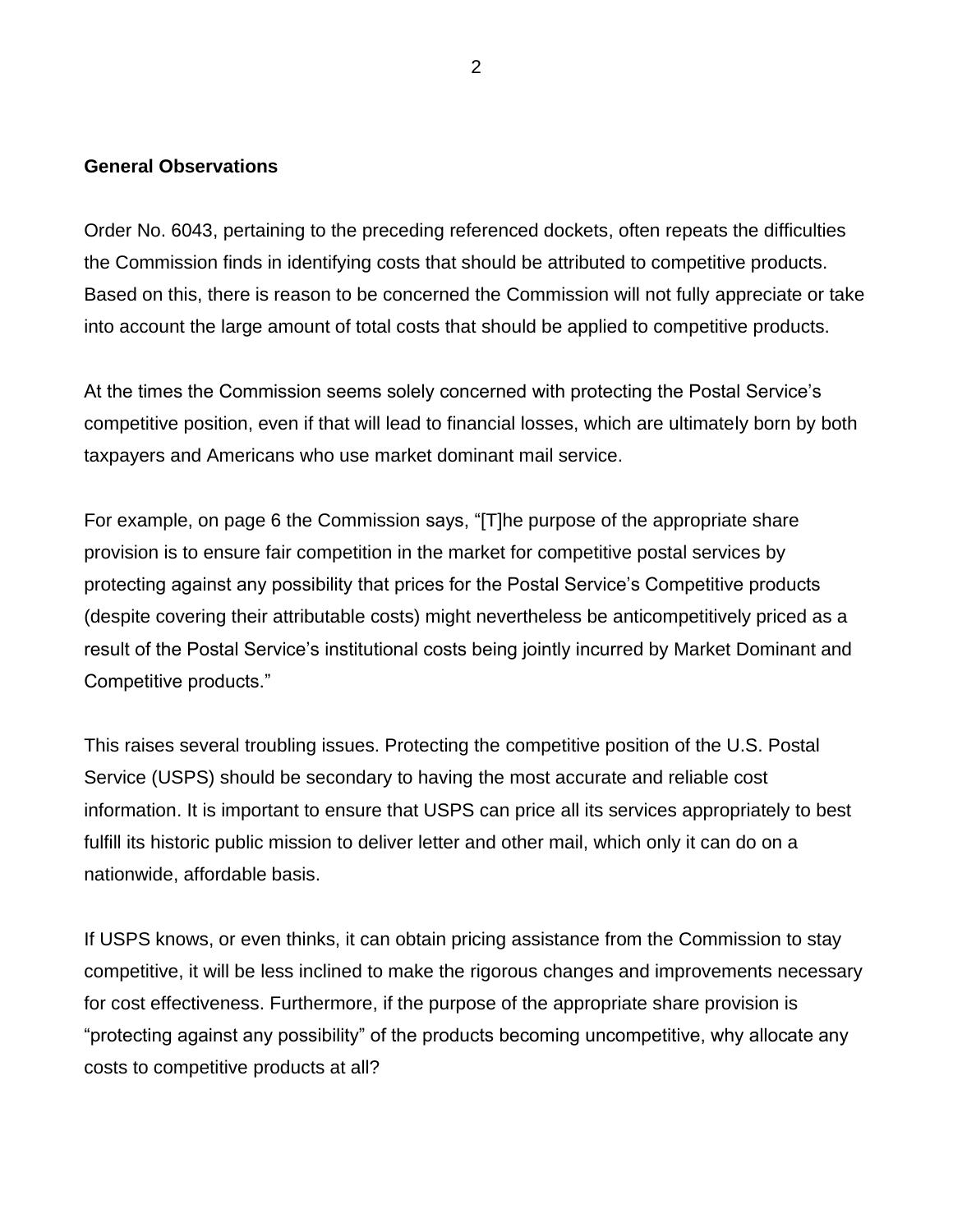### **General Observations**

Order No. 6043, pertaining to the preceding referenced dockets, often repeats the difficulties the Commission finds in identifying costs that should be attributed to competitive products. Based on this, there is reason to be concerned the Commission will not fully appreciate or take into account the large amount of total costs that should be applied to competitive products.

At the times the Commission seems solely concerned with protecting the Postal Service's competitive position, even if that will lead to financial losses, which are ultimately born by both taxpayers and Americans who use market dominant mail service.

For example, on page 6 the Commission says, "[T]he purpose of the appropriate share provision is to ensure fair competition in the market for competitive postal services by protecting against any possibility that prices for the Postal Service's Competitive products (despite covering their attributable costs) might nevertheless be anticompetitively priced as a result of the Postal Service's institutional costs being jointly incurred by Market Dominant and Competitive products."

This raises several troubling issues. Protecting the competitive position of the U.S. Postal Service (USPS) should be secondary to having the most accurate and reliable cost information. It is important to ensure that USPS can price all its services appropriately to best fulfill its historic public mission to deliver letter and other mail, which only it can do on a nationwide, affordable basis.

If USPS knows, or even thinks, it can obtain pricing assistance from the Commission to stay competitive, it will be less inclined to make the rigorous changes and improvements necessary for cost effectiveness. Furthermore, if the purpose of the appropriate share provision is "protecting against any possibility" of the products becoming uncompetitive, why allocate any costs to competitive products at all?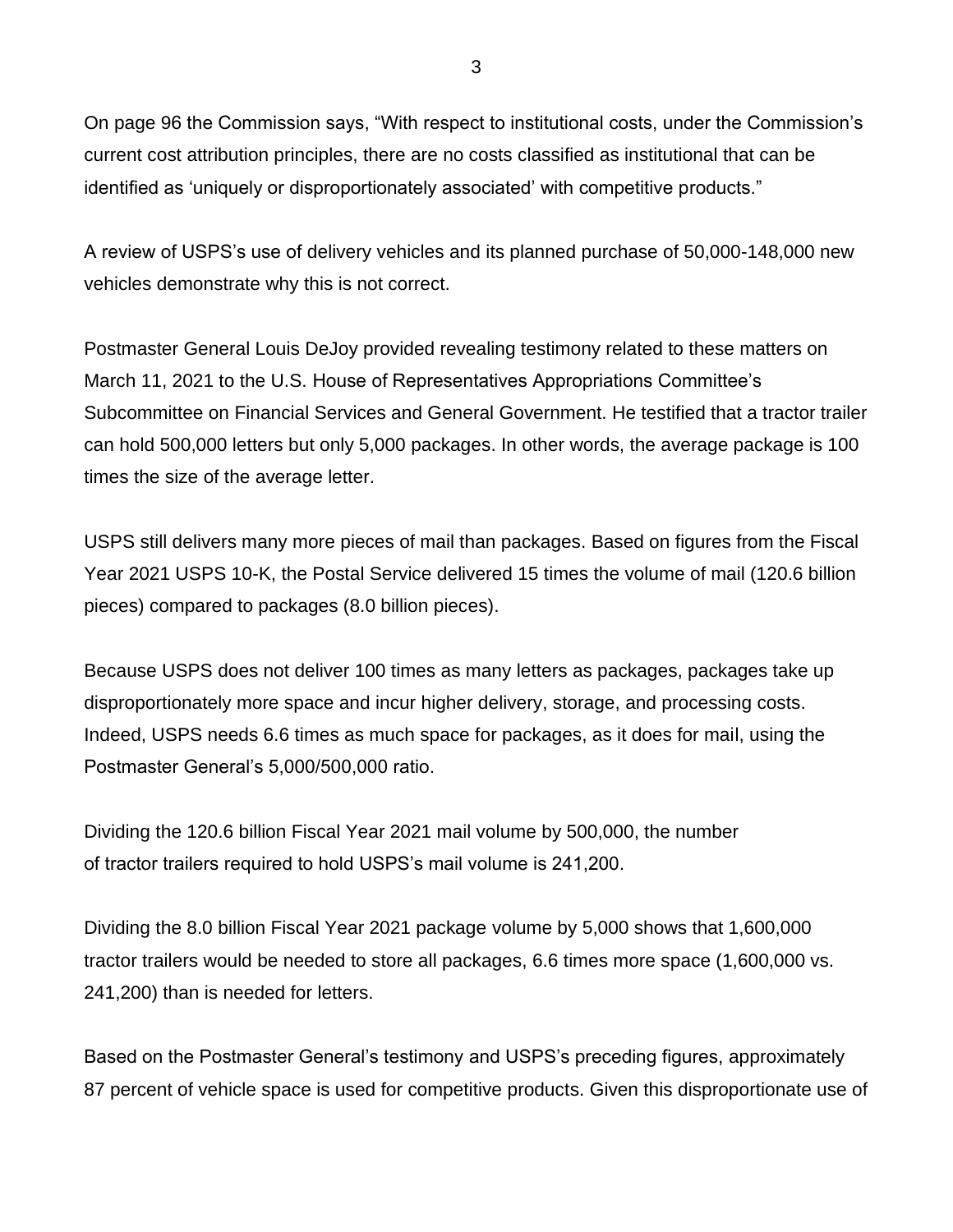On page 96 the Commission says, "With respect to institutional costs, under the Commission's current cost attribution principles, there are no costs classified as institutional that can be identified as 'uniquely or disproportionately associated' with competitive products."

A review of USPS's use of delivery vehicles and its planned purchase of 50,000-148,000 new vehicles demonstrate why this is not correct.

Postmaster General Louis DeJoy provided revealing testimony related to these matters on March 11, 2021 to the U.S. House of Representatives Appropriations Committee's Subcommittee on Financial Services and General Government. He testified that a tractor trailer can hold 500,000 letters but only 5,000 packages. In other words, the average package is 100 times the size of the average letter.

USPS still delivers many more pieces of mail than packages. Based on figures from the Fiscal Year 2021 USPS 10-K, the Postal Service delivered 15 times the volume of mail (120.6 billion pieces) compared to packages (8.0 billion pieces).

Because USPS does not deliver 100 times as many letters as packages, packages take up disproportionately more space and incur higher delivery, storage, and processing costs. Indeed, USPS needs 6.6 times as much space for packages, as it does for mail, using the Postmaster General's 5,000/500,000 ratio.

Dividing the 120.6 billion Fiscal Year 2021 mail volume by 500,000, the number of tractor trailers required to hold USPS's mail volume is 241,200.

Dividing the 8.0 billion Fiscal Year 2021 package volume by 5,000 shows that 1,600,000 tractor trailers would be needed to store all packages, 6.6 times more space (1,600,000 vs. 241,200) than is needed for letters.

Based on the Postmaster General's testimony and USPS's preceding figures, approximately 87 percent of vehicle space is used for competitive products. Given this disproportionate use of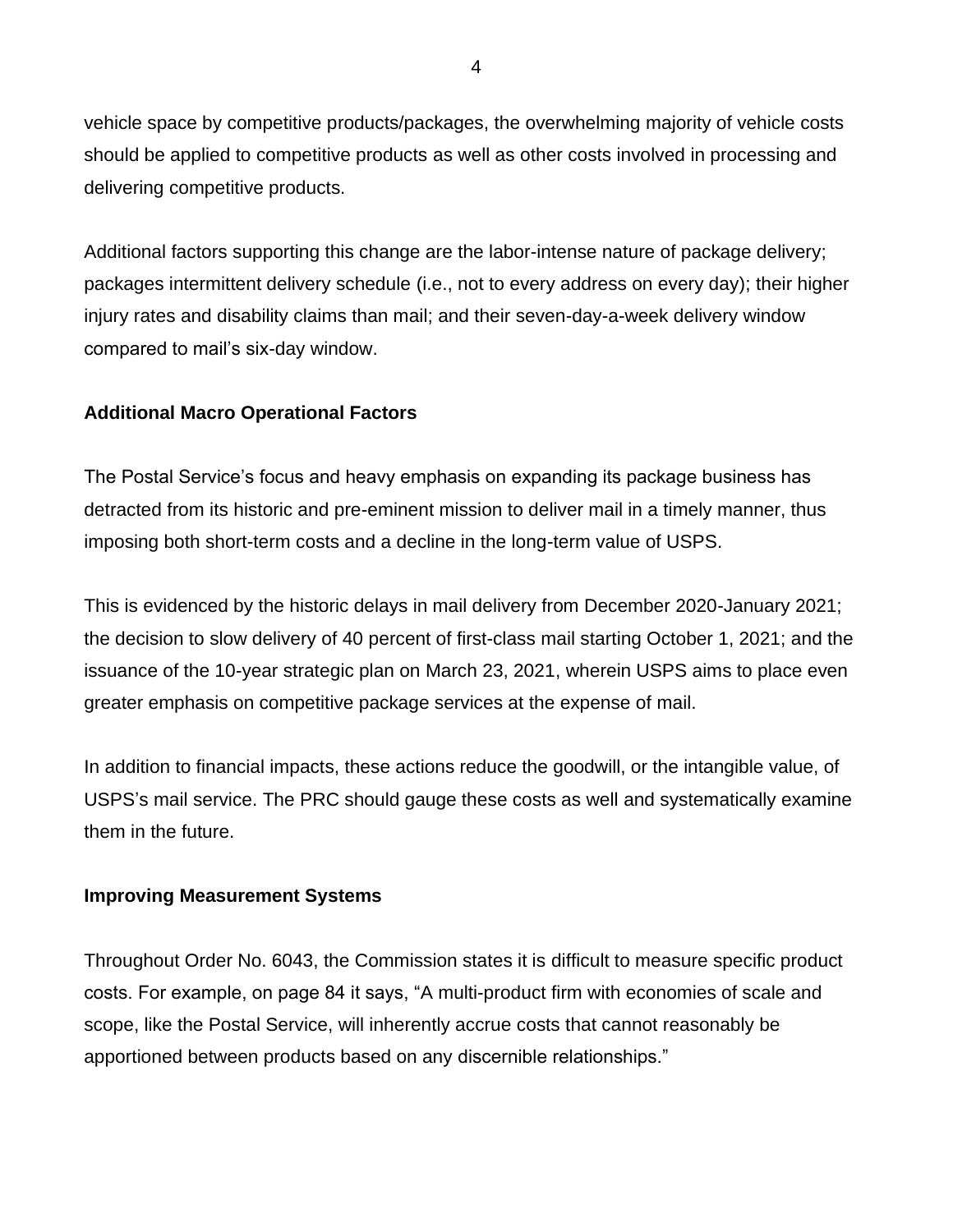vehicle space by competitive products/packages, the overwhelming majority of vehicle costs should be applied to competitive products as well as other costs involved in processing and delivering competitive products.

Additional factors supporting this change are the labor-intense nature of package delivery; packages intermittent delivery schedule (i.e., not to every address on every day); their higher injury rates and disability claims than mail; and their seven-day-a-week delivery window compared to mail's six-day window.

# **Additional Macro Operational Factors**

The Postal Service's focus and heavy emphasis on expanding its package business has detracted from its historic and pre-eminent mission to deliver mail in a timely manner, thus imposing both short-term costs and a decline in the long-term value of USPS.

This is evidenced by the historic delays in mail delivery from December 2020-January 2021; the decision to slow delivery of 40 percent of first-class mail starting October 1, 2021; and the issuance of the 10-year strategic plan on March 23, 2021, wherein USPS aims to place even greater emphasis on competitive package services at the expense of mail.

In addition to financial impacts, these actions reduce the goodwill, or the intangible value, of USPS's mail service. The PRC should gauge these costs as well and systematically examine them in the future.

## **Improving Measurement Systems**

Throughout Order No. 6043, the Commission states it is difficult to measure specific product costs. For example, on page 84 it says, "A multi-product firm with economies of scale and scope, like the Postal Service, will inherently accrue costs that cannot reasonably be apportioned between products based on any discernible relationships."